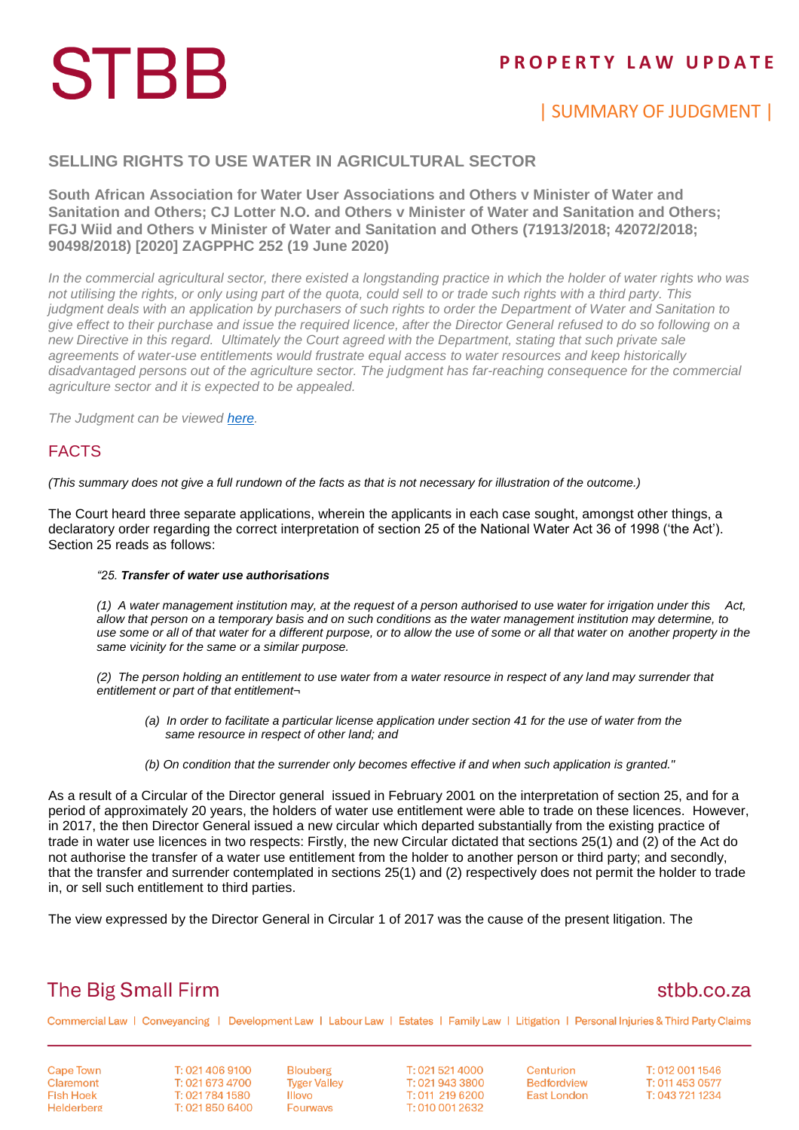# **STBB**

### **P R O P E R T Y L A W U P D A T E**

## | SUMMARY OF JUDGMENT |

#### **SELLING RIGHTS TO USE WATER IN AGRICULTURAL SECTOR**

**South African Association for Water User Associations and Others v Minister of Water and Sanitation and Others; CJ Lotter N.O. and Others v Minister of Water and Sanitation and Others; FGJ Wiid and Others v Minister of Water and Sanitation and Others (71913/2018; 42072/2018; 90498/2018) [2020] ZAGPPHC 252 (19 June 2020)**

*In the commercial agricultural sector, there existed a longstanding practice in which the holder of water rights who was not utilising the rights, or only using part of the quota, could sell to or trade such rights with a third party. This judgment deals with an application by purchasers of such rights to order the Department of Water and Sanitation to give effect to their purchase and issue the required licence, after the Director General refused to do so following on a new Directive in this regard. Ultimately the Court agreed with the Department, stating that such private sale agreements of water-use entitlements would frustrate equal access to water resources and keep historically disadvantaged persons out of the agriculture sector. The judgment has far-reaching consequence for the commercial agriculture sector and it is expected to be appealed.*

*The Judgment can be viewed [here.](http://www.saflii.org/za/cases/ZAGPPHC/2020/252.html)*

### FACTS

*(This summary does not give a full rundown of the facts as that is not necessary for illustration of the outcome.)*

The Court heard three separate applications, wherein the applicants in each case sought, amongst other things, a declaratory order regarding the correct interpretation of section 25 of the National Water Act 36 of 1998 ('the Act'). Section 25 reads as follows:

#### *"25. Transfer of water use authorisations*

*(1) A water management institution may, at the request of a person authorised to use water for irrigation under this Act, allow that person on a temporary basis and on such conditions as the water management institution may determine, to use some or all of that water for a different purpose, or to allow the use of some or all that water on another property in the same vicinity for the same or a similar purpose.*

*(2) The person holding an entitlement to use water from a water resource in respect of any land may surrender that entitlement or part of that entitlement¬*

- *(a) In order to facilitate a particular license application under section 41 for the use of water from the same resource in respect of other land; and*
- *(b) On condition that the surrender only becomes effective if and when such application is granted."*

As a result of a Circular of the Director general issued in February 2001 on the interpretation of section 25, and for a period of approximately 20 years, the holders of water use entitlement were able to trade on these licences. However, in 2017, the then Director General issued a new circular which departed substantially from the existing practice of trade in water use licences in two respects: Firstly, the new Circular dictated that sections 25(1) and (2) of the Act do not authorise the transfer of a water use entitlement from the holder to another person or third party; and secondly, that the transfer and surrender contemplated in sections 25(1) and (2) respectively does not permit the holder to trade in, or sell such entitlement to third parties.

The view expressed by the Director General in Circular 1 of 2017 was the cause of the present litigation. The

## **The Big Small Firm**

### stbb.co.za

Commercial Law | Conveyancing | Development Law | Labour Law | Estates | Family Law | Litigation | Personal Injuries & Third Party Claims

**Cape Town** Claremont **Fish Hoek** Helderberg T: 021 406 9100 T: 021 673 4700 T: 021 784 1580 T: 021 850 6400 **Blouberg Tyger Valley Illovo Fourways** 

T: 021 521 4000 T: 021 943 3800 T: 011 219 6200 T: 010 001 2632

Centurion **Bedfordview East London** 

T: 012 001 1546 T: 011 453 0577 T: 043 721 1234